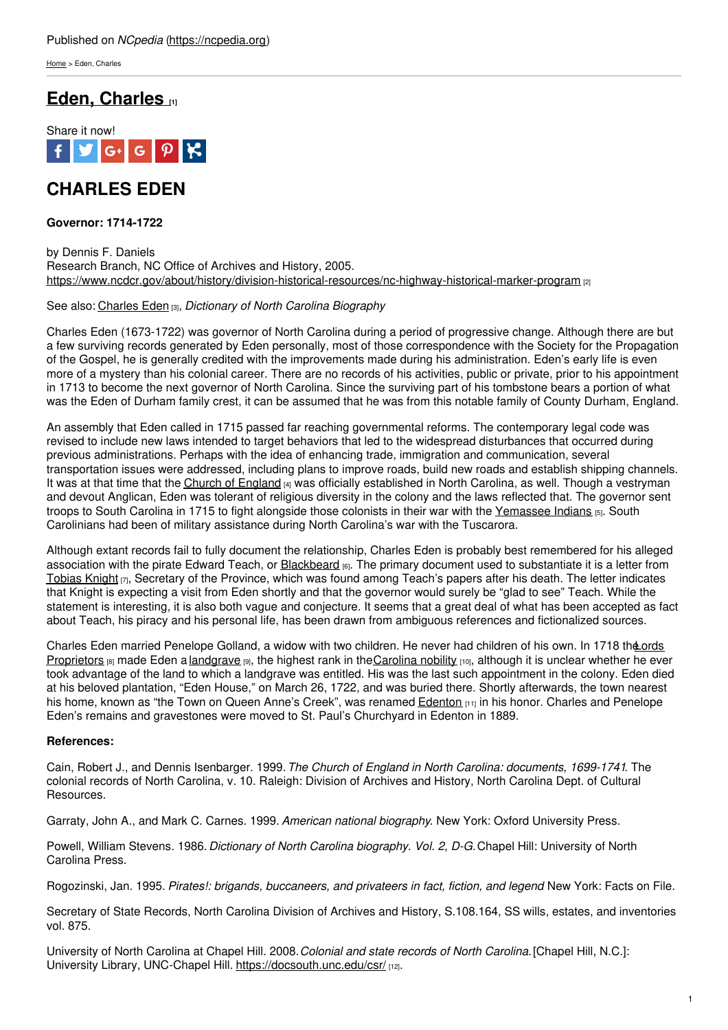[Home](https://ncpedia.org/) > Eden, Charles

## **Eden, [Charles](https://ncpedia.org/eden-charles) [1]**



# **CHARLES EDEN**

### **Governor: 1714-1722**

by Dennis F. Daniels Research Branch, NC Office of Archives and History, 2005. <https://www.ncdcr.gov/about/history/division-historical-resources/nc-highway-historical-marker-program> [2]

### See also: [Charles](https://ncpedia.org/biography/eden-charles) Eden [3], *Dictionary of North Carolina Biography*

Charles Eden (1673-1722) was governor of North [Carolin](http://www.social9.com)a during a period of progressive change. Although there are but a few surviving records generated by Eden personally, most of those correspondence with the Society for the Propagation of the Gospel, he is generally credited with the improvements made during his administration. Eden's early life is even more of a mystery than his colonial career. There are no records of his activities, public or private, prior to his appointment in 1713 to become the next governor of North Carolina. Since the surviving part of his tombstone bears a portion of what was the Eden of Durham family crest, it can be assumed that he was from this notable family of County Durham, England.

An assembly that Eden called in 1715 passed far reaching governmental reforms. The contemporary legal code was revised to include new laws intended to target behaviors that led to the widespread disturbances that occurred during previous administrations. Perhaps with the idea of enhancing trade, immigration and communication, several transportation issues were addressed, including plans to improve roads, build new roads and establish shipping channels. It was at that time that the Church of [England](https://ncpedia.org/church-england) [4] was officially established in North Carolina, as well. Though a vestryman and devout Anglican, Eden was tolerant of religious diversity in the colony and the laws reflected that. The governor sent troops to South Carolina in 1715 to fight alongside those colonists in their war with the [Yemassee](https://www.sciway.net/hist/indians/yemassee.html) Indians [5]. South Carolinians had been of military assistance during North Carolina's war with the Tuscarora.

Although extant records fail to fully document the relationship, Charles Eden is probably best remembered for his alleged association with the pirate Edward Teach, or **[Blackbeard](https://ncpedia.org/biography/blackbeard-the-pirate) [6]**. The primary document used to substantiate it is a letter from [Tobias](https://ncpedia.org/biography/knight-tobias) Knight  $_{[7]}$ , Secretary of the Province, which was found among Teach's papers after his death. The letter indicates that Knight is expecting a visit from Eden shortly and that the governor would surely be "glad to see" Teach. While the statement is interesting, it is also both vague and conjecture. It seems that a great deal of what has been accepted as fact about Teach, his piracy and his personal life, has been drawn from ambiguous references and fictionalized sources.

Charles Eden married Penelope Golland, a widow with two children. He never had children of his own. In 1718 the ords Proprietors [8] made Eden a [landgrave](https://docsouth.unc.edu/nc/bassettnc/bassettnc.html#p37) [9], [the](https://ncpedia.org/lords-proprietors) highest rank in the [Carolina](https://www.ncpedia.org/anchor/little-kingdom-carolina) nobility [10], although it is unclear whether he ever took advantage of the land to which a landgrave was entitled. His was the last such appointment in the colony. Eden died at his beloved plantation, "Eden House," on March 26, 1722, and was buried there. Shortly afterwards, the town nearest his home, known as "the Town on Queen Anne's Creek", was renamed **[Edenton](https://ncpedia.org/edenton) [11]** in his honor. Charles and Penelope Eden's remains and gravestones were moved to St. Paul's Churchyard in Edenton in 1889.

### **References:**

Cain, Robert J., and Dennis Isenbarger. 1999.*The Church of England in North Carolina: documents, 1699-1741*. The colonial records of North Carolina, v. 10. Raleigh: Division of Archives and History, North Carolina Dept. of Cultural Resources.

Garraty, John A., and Mark C. Carnes. 1999. *American national biography*. New York: Oxford University Press.

Powell, William Stevens. 1986. *Dictionary of North Carolina biography. Vol. 2, D-G.*Chapel Hill: University of North Carolina Press.

Rogozinski, Jan. 1995. *Pirates!: brigands, buccaneers, and privateers in fact, fiction, and legend*. New York: Facts on File.

Secretary of State Records, North Carolina Division of Archives and History, S.108.164, SS wills, estates, and inventories vol. 875.

University of North Carolina at Chapel Hill. 2008.*Colonial and state records of North Carolina.*[Chapel Hill, N.C.]: University Library, UNC-Chapel Hill. <https://docsouth.unc.edu/csr/> [12].